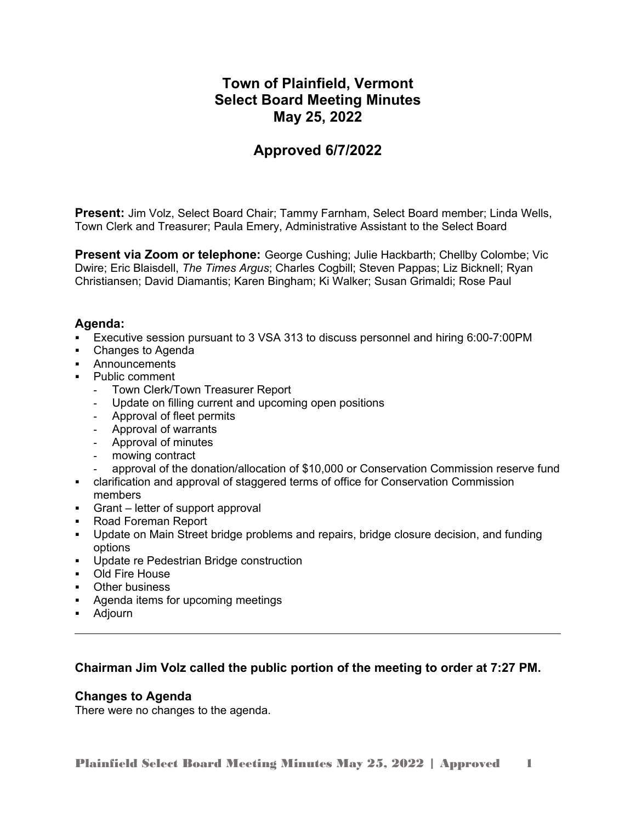# **Town of Plainfield, Vermont Select Board Meeting Minutes May 25, 2022**

# **Approved 6/7/2022**

**Present:** Jim Volz, Select Board Chair; Tammy Farnham, Select Board member; Linda Wells, Town Clerk and Treasurer; Paula Emery, Administrative Assistant to the Select Board

**Present via Zoom or telephone:** George Cushing; Julie Hackbarth; Chellby Colombe; Vic Dwire; Eric Blaisdell, *The Times Argus*; Charles Cogbill; Steven Pappas; Liz Bicknell; Ryan Christiansen; David Diamantis; Karen Bingham; Ki Walker; Susan Grimaldi; Rose Paul

## **Agenda:**

- Executive session pursuant to 3 VSA 313 to discuss personnel and hiring 6:00-7:00PM
- Changes to Agenda
- **Announcements**
- Public comment
	- Town Clerk/Town Treasurer Report
	- Update on filling current and upcoming open positions
	- Approval of fleet permits
	- Approval of warrants
	- Approval of minutes
	- mowing contract
	- approval of the donation/allocation of \$10,000 or Conservation Commission reserve fund
- clarification and approval of staggered terms of office for Conservation Commission members
- Grant letter of support approval
- Road Foreman Report
- Update on Main Street bridge problems and repairs, bridge closure decision, and funding options
- **Update re Pedestrian Bridge construction**
- **DI**d Fire House
- **•** Other business
- Agenda items for upcoming meetings
- Adjourn

## **Chairman Jim Volz called the public portion of the meeting to order at 7:27 PM.**

## **Changes to Agenda**

There were no changes to the agenda.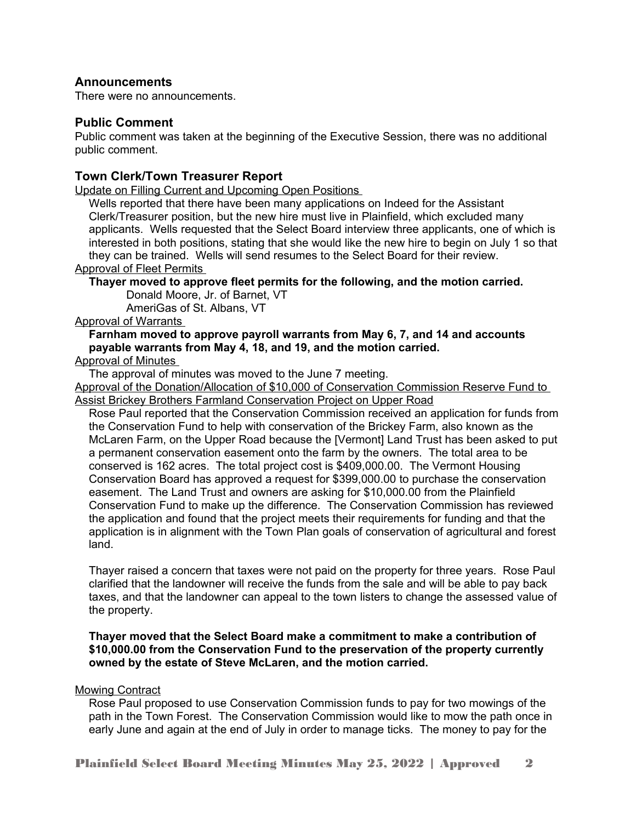## **Announcements**

There were no announcements.

#### **Public Comment**

Public comment was taken at the beginning of the Executive Session, there was no additional public comment.

#### **Town Clerk/Town Treasurer Report**

Update on Filling Current and Upcoming Open Positions

Wells reported that there have been many applications on Indeed for the Assistant Clerk/Treasurer position, but the new hire must live in Plainfield, which excluded many applicants. Wells requested that the Select Board interview three applicants, one of which is interested in both positions, stating that she would like the new hire to begin on July 1 so that they can be trained. Wells will send resumes to the Select Board for their review.

Approval of Fleet Permits

#### **Thayer moved to approve fleet permits for the following, and the motion carried.**

Donald Moore, Jr. of Barnet, VT

AmeriGas of St. Albans, VT

#### Approval of Warrants

#### **Farnham moved to approve payroll warrants from May 6, 7, and 14 and accounts payable warrants from May 4, 18, and 19, and the motion carried.**

Approval of Minutes

The approval of minutes was moved to the June 7 meeting.

Approval of the Donation/Allocation of \$10,000 of Conservation Commission Reserve Fund to Assist Brickey Brothers Farmland Conservation Project on Upper Road

Rose Paul reported that the Conservation Commission received an application for funds from the Conservation Fund to help with conservation of the Brickey Farm, also known as the McLaren Farm, on the Upper Road because the [Vermont] Land Trust has been asked to put a permanent conservation easement onto the farm by the owners. The total area to be conserved is 162 acres. The total project cost is \$409,000.00. The Vermont Housing Conservation Board has approved a request for \$399,000.00 to purchase the conservation easement. The Land Trust and owners are asking for \$10,000.00 from the Plainfield Conservation Fund to make up the difference. The Conservation Commission has reviewed the application and found that the project meets their requirements for funding and that the application is in alignment with the Town Plan goals of conservation of agricultural and forest land.

Thayer raised a concern that taxes were not paid on the property for three years. Rose Paul clarified that the landowner will receive the funds from the sale and will be able to pay back taxes, and that the landowner can appeal to the town listers to change the assessed value of the property.

#### **Thayer moved that the Select Board make a commitment to make a contribution of \$10,000.00 from the Conservation Fund to the preservation of the property currently owned by the estate of Steve McLaren, and the motion carried.**

#### Mowing Contract

Rose Paul proposed to use Conservation Commission funds to pay for two mowings of the path in the Town Forest. The Conservation Commission would like to mow the path once in early June and again at the end of July in order to manage ticks. The money to pay for the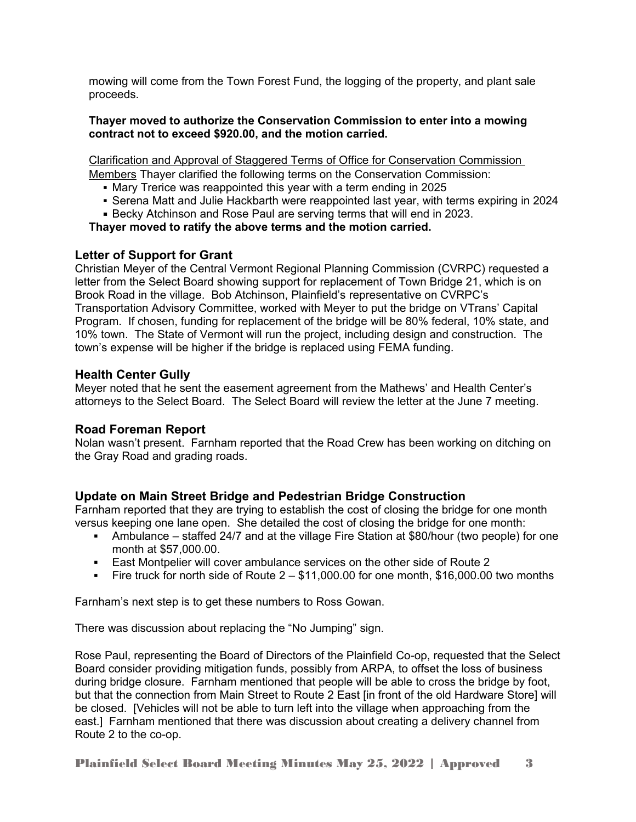mowing will come from the Town Forest Fund, the logging of the property, and plant sale proceeds.

#### **Thayer moved to authorize the Conservation Commission to enter into a mowing contract not to exceed \$920.00, and the motion carried.**

Clarification and Approval of Staggered Terms of Office for Conservation Commission Members Thayer clarified the following terms on the Conservation Commission:

- Mary Trerice was reappointed this year with a term ending in 2025
- Serena Matt and Julie Hackbarth were reappointed last year, with terms expiring in 2024
- Becky Atchinson and Rose Paul are serving terms that will end in 2023.

# **Thayer moved to ratify the above terms and the motion carried.**

# **Letter of Support for Grant**

Christian Meyer of the Central Vermont Regional Planning Commission (CVRPC) requested a letter from the Select Board showing support for replacement of Town Bridge 21, which is on Brook Road in the village. Bob Atchinson, Plainfield's representative on CVRPC's Transportation Advisory Committee, worked with Meyer to put the bridge on VTrans' Capital Program. If chosen, funding for replacement of the bridge will be 80% federal, 10% state, and 10% town. The State of Vermont will run the project, including design and construction. The town's expense will be higher if the bridge is replaced using FEMA funding.

## **Health Center Gully**

Meyer noted that he sent the easement agreement from the Mathews' and Health Center's attorneys to the Select Board. The Select Board will review the letter at the June 7 meeting.

## **Road Foreman Report**

Nolan wasn't present. Farnham reported that the Road Crew has been working on ditching on the Gray Road and grading roads.

# **Update on Main Street Bridge and Pedestrian Bridge Construction**

Farnham reported that they are trying to establish the cost of closing the bridge for one month versus keeping one lane open. She detailed the cost of closing the bridge for one month:

- Ambulance staffed 24/7 and at the village Fire Station at \$80/hour (two people) for one month at \$57,000.00.
- East Montpelier will cover ambulance services on the other side of Route 2
- Fire truck for north side of Route  $2 $11,000.00$  for one month, \$16,000.00 two months

Farnham's next step is to get these numbers to Ross Gowan.

There was discussion about replacing the "No Jumping" sign.

Rose Paul, representing the Board of Directors of the Plainfield Co-op, requested that the Select Board consider providing mitigation funds, possibly from ARPA, to offset the loss of business during bridge closure. Farnham mentioned that people will be able to cross the bridge by foot, but that the connection from Main Street to Route 2 East [in front of the old Hardware Store] will be closed. [Vehicles will not be able to turn left into the village when approaching from the east.] Farnham mentioned that there was discussion about creating a delivery channel from Route 2 to the co-op.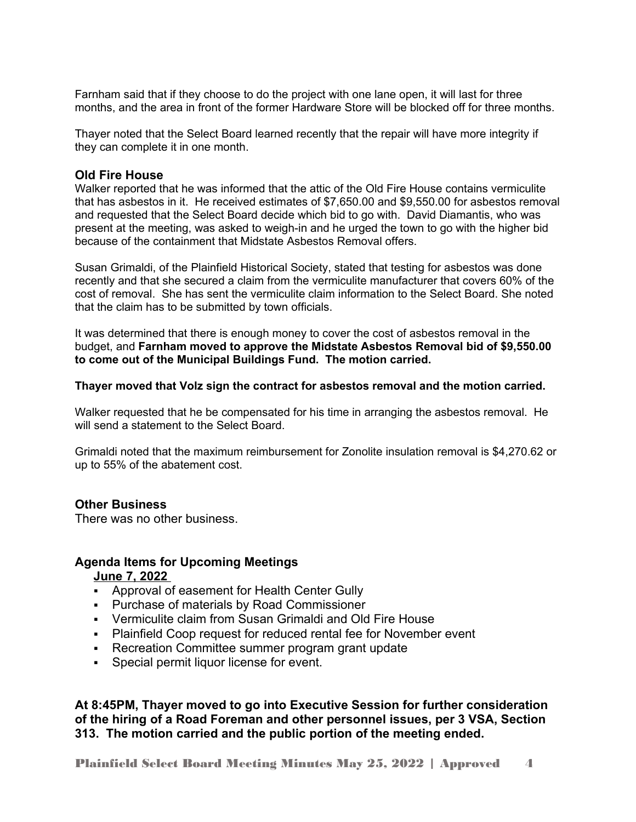Farnham said that if they choose to do the project with one lane open, it will last for three months, and the area in front of the former Hardware Store will be blocked off for three months.

Thayer noted that the Select Board learned recently that the repair will have more integrity if they can complete it in one month.

#### **Old Fire House**

Walker reported that he was informed that the attic of the Old Fire House contains vermiculite that has asbestos in it. He received estimates of \$7,650.00 and \$9,550.00 for asbestos removal and requested that the Select Board decide which bid to go with. David Diamantis, who was present at the meeting, was asked to weigh-in and he urged the town to go with the higher bid because of the containment that Midstate Asbestos Removal offers.

Susan Grimaldi, of the Plainfield Historical Society, stated that testing for asbestos was done recently and that she secured a claim from the vermiculite manufacturer that covers 60% of the cost of removal. She has sent the vermiculite claim information to the Select Board. She noted that the claim has to be submitted by town officials.

It was determined that there is enough money to cover the cost of asbestos removal in the budget, and **Farnham moved to approve the Midstate Asbestos Removal bid of \$9,550.00 to come out of the Municipal Buildings Fund. The motion carried.** 

#### **Thayer moved that Volz sign the contract for asbestos removal and the motion carried.**

Walker requested that he be compensated for his time in arranging the asbestos removal. He will send a statement to the Select Board.

Grimaldi noted that the maximum reimbursement for Zonolite insulation removal is \$4,270.62 or up to 55% of the abatement cost.

## **Other Business**

There was no other business.

## **Agenda Items for Upcoming Meetings**

## **June 7, 2022**

- Approval of easement for Health Center Gully
- Purchase of materials by Road Commissioner
- Vermiculite claim from Susan Grimaldi and Old Fire House
- Plainfield Coop request for reduced rental fee for November event
- Recreation Committee summer program grant update
- **Special permit liquor license for event.**

**At 8:45PM, Thayer moved to go into Executive Session for further consideration of the hiring of a Road Foreman and other personnel issues, per 3 VSA, Section 313. The motion carried and the public portion of the meeting ended.**